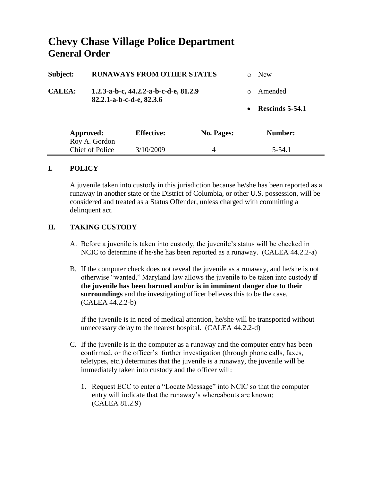## **Chevy Chase Village Police Department General Order**

| Subject:               | <b>RUNAWAYS FROM OTHER STATES</b>                                 |                   |            | ∩         | <b>New</b>      |
|------------------------|-------------------------------------------------------------------|-------------------|------------|-----------|-----------------|
| <b>CALEA:</b>          | 1.2.3-a-b-c, 44.2.2-a-b-c-d-e, 81.2.9<br>82.2.1-a-b-c-d-e, 82.3.6 |                   |            | $\Omega$  | Amended         |
|                        |                                                                   |                   |            | $\bullet$ | Rescinds 5-54.1 |
| Approved:              |                                                                   | <b>Effective:</b> | No. Pages: |           | Number:         |
|                        | Roy A. Gordon                                                     |                   |            |           |                 |
| <b>Chief of Police</b> |                                                                   | 3/10/2009         | 4          |           | 5-54.1          |

## **I. POLICY**

A juvenile taken into custody in this jurisdiction because he/she has been reported as a runaway in another state or the District of Columbia, or other U.S. possession, will be considered and treated as a Status Offender, unless charged with committing a delinquent act.

## **II. TAKING CUSTODY**

- A. Before a juvenile is taken into custody, the juvenile's status will be checked in NCIC to determine if he/she has been reported as a runaway. (CALEA 44.2.2-a)
- B. If the computer check does not reveal the juvenile as a runaway, and he/she is not otherwise "wanted," Maryland law allows the juvenile to be taken into custody **if the juvenile has been harmed and/or is in imminent danger due to their surroundings** and the investigating officer believes this to be the case. (CALEA 44.2.2-b)

If the juvenile is in need of medical attention, he/she will be transported without unnecessary delay to the nearest hospital. (CALEA 44.2.2-d)

- C. If the juvenile is in the computer as a runaway and the computer entry has been confirmed, or the officer's further investigation (through phone calls, faxes, teletypes, etc.) determines that the juvenile is a runaway, the juvenile will be immediately taken into custody and the officer will:
	- 1. Request ECC to enter a "Locate Message" into NCIC so that the computer entry will indicate that the runaway's whereabouts are known; (CALEA 81.2.9)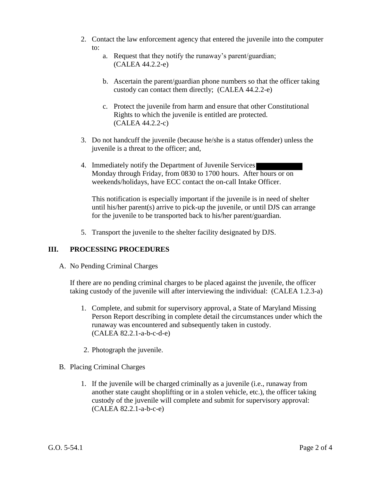- 2. Contact the law enforcement agency that entered the juvenile into the computer to:
	- a. Request that they notify the runaway's parent/guardian; (CALEA 44.2.2-e)
	- b. Ascertain the parent/guardian phone numbers so that the officer taking custody can contact them directly; (CALEA 44.2.2-e)
	- c. Protect the juvenile from harm and ensure that other Constitutional Rights to which the juvenile is entitled are protected. (CALEA 44.2.2-c)
- 3. Do not handcuff the juvenile (because he/she is a status offender) unless the juvenile is a threat to the officer; and,
- 4. Immediately notify the Department of Juvenile Services Monday through Friday, from 0830 to 1700 hours. After hours or on weekends/holidays, have ECC contact the on-call Intake Officer.

This notification is especially important if the juvenile is in need of shelter until his/her parent(s) arrive to pick-up the juvenile, or until DJS can arrange for the juvenile to be transported back to his/her parent/guardian.

5. Transport the juvenile to the shelter facility designated by DJS.

## **III. PROCESSING PROCEDURES**

A. No Pending Criminal Charges

If there are no pending criminal charges to be placed against the juvenile, the officer taking custody of the juvenile will after interviewing the individual: (CALEA 1.2.3-a)

- 1. Complete, and submit for supervisory approval, a State of Maryland Missing Person Report describing in complete detail the circumstances under which the runaway was encountered and subsequently taken in custody. (CALEA 82.2.1-a-b-c-d-e)
- 2. Photograph the juvenile.
- B. Placing Criminal Charges
	- 1. If the juvenile will be charged criminally as a juvenile (i.e., runaway from another state caught shoplifting or in a stolen vehicle, etc.), the officer taking custody of the juvenile will complete and submit for supervisory approval: (CALEA 82.2.1-a-b-c-e)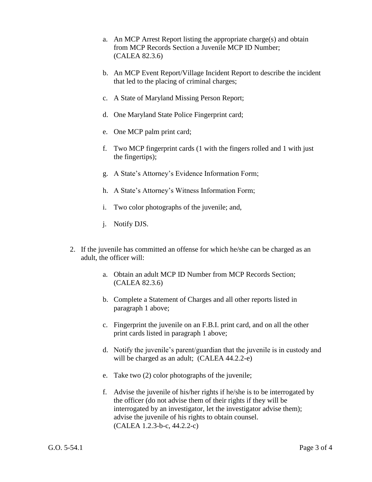- a. An MCP Arrest Report listing the appropriate charge(s) and obtain from MCP Records Section a Juvenile MCP ID Number; (CALEA 82.3.6)
- b. An MCP Event Report/Village Incident Report to describe the incident that led to the placing of criminal charges;
- c. A State of Maryland Missing Person Report;
- d. One Maryland State Police Fingerprint card;
- e. One MCP palm print card;
- f. Two MCP fingerprint cards (1 with the fingers rolled and 1 with just the fingertips);
- g. A State's Attorney's Evidence Information Form;
- h. A State's Attorney's Witness Information Form;
- i. Two color photographs of the juvenile; and,
- j. Notify DJS.
- 2. If the juvenile has committed an offense for which he/she can be charged as an adult, the officer will:
	- a. Obtain an adult MCP ID Number from MCP Records Section; (CALEA 82.3.6)
	- b. Complete a Statement of Charges and all other reports listed in paragraph 1 above;
	- c. Fingerprint the juvenile on an F.B.I. print card, and on all the other print cards listed in paragraph 1 above;
	- d. Notify the juvenile's parent/guardian that the juvenile is in custody and will be charged as an adult; (CALEA 44.2.2-e)
	- e. Take two (2) color photographs of the juvenile;
	- f. Advise the juvenile of his/her rights if he/she is to be interrogated by the officer (do not advise them of their rights if they will be interrogated by an investigator, let the investigator advise them); advise the juvenile of his rights to obtain counsel. (CALEA 1.2.3-b-c, 44.2.2-c)